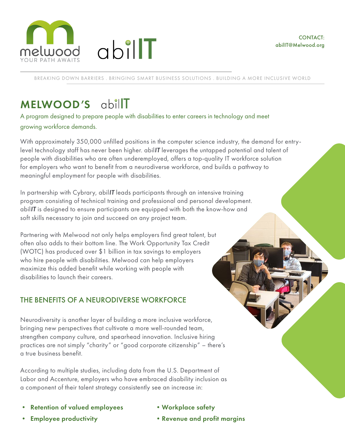



BREAKING DOWN BARRIERS . BRINGING SMART BUSINESS SOLUTIONS . BUILDING A MORE INCLUSIVE WORLD

# MELWOOD'S abillT

A program designed to prepare people with disabilities to enter careers in technology and meet growing workforce demands.

abilT

With approximately 350,000 unfilled positions in the computer science industry, the demand for entrylevel technology staff has never been higher. abilIT leverages the untapped potential and talent of people with disabilities who are often underemployed, offers a top-quality IT workforce solution for employers who want to benefit from a neurodiverse workforce, and builds a pathway to meaningful employment for people with disabilities.

In partnership with Cybrary, abillT leads participants through an intensive training program consisting of technical training and professional and personal development. abilIT is designed to ensure participants are equipped with both the know-how and soft skills necessary to join and succeed on any project team.

Partnering with Melwood not only helps employers find great talent, but often also adds to their bottom line. The Work Opportunity Tax Credit (WOTC) has produced over \$1 billion in tax savings to employers who hire people with disabilities. Melwood can help employers maximize this added benefit while working with people with disabilities to launch their careers.

## THE BENEFITS OF A NEURODIVERSE WORKFORCE

Neurodiversity is another layer of building a more inclusive workforce, bringing new perspectives that cultivate a more well-rounded team, strengthen company culture, and spearhead innovation. Inclusive hiring practices are not simply "charity" or "good corporate citizenship" – there's a true business benefit.

According to multiple studies, including data from the U.S. Department of Labor and Accenture, employers who have embraced disability inclusion as a component of their talent strategy consistently see an increase in:

- Retention of valued employees
- •Workplace safety

• Employee productivity

•Revenue and profit margins